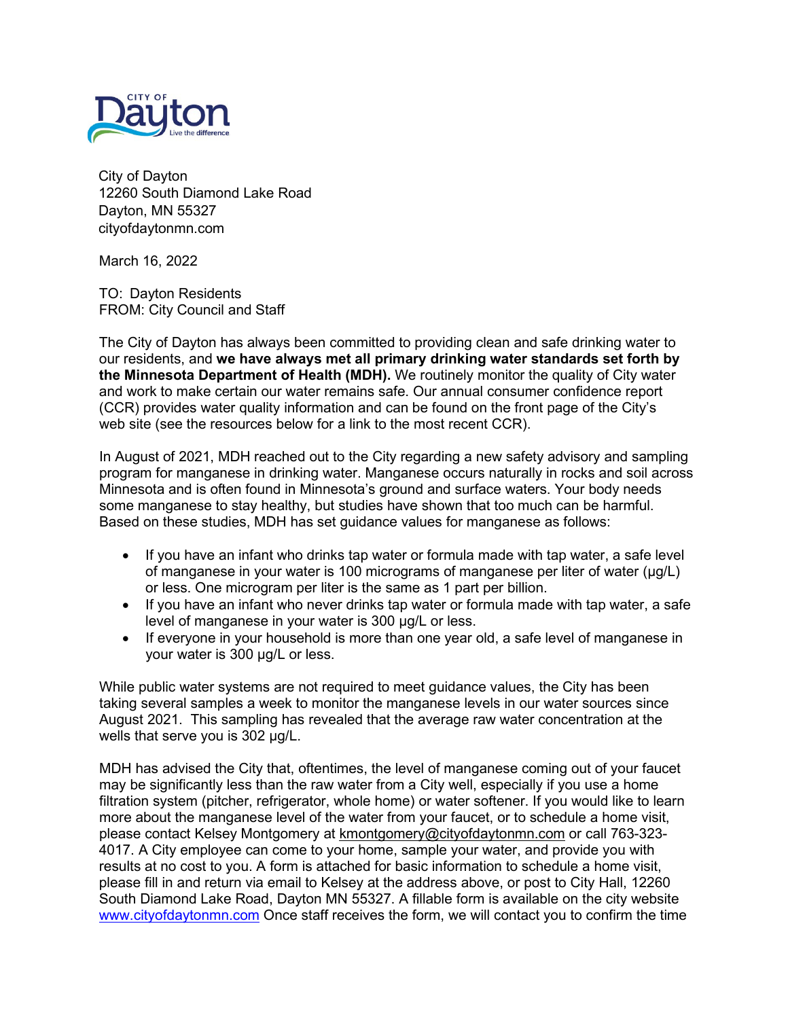

City of Dayton 12260 South Diamond Lake Road Dayton, MN 55327 cityofdaytonmn.com

March 16, 2022

TO: Dayton Residents FROM: City Council and Staff

The City of Dayton has always been committed to providing clean and safe drinking water to our residents, and **we have always met all primary drinking water standards set forth by the Minnesota Department of Health (MDH).** We routinely monitor the quality of City water and work to make certain our water remains safe. Our annual consumer confidence report (CCR) provides water quality information and can be found on the front page of the City's web site (see the resources below for a link to the most recent CCR).

In August of 2021, MDH reached out to the City regarding a new safety advisory and sampling program for manganese in drinking water. Manganese occurs naturally in rocks and soil across Minnesota and is often found in Minnesota's ground and surface waters. Your body needs some manganese to stay healthy, but studies have shown that too much can be harmful. Based on these studies, MDH has set guidance values for manganese as follows:

- If you have an infant who drinks tap water or formula made with tap water, a safe level of manganese in your water is 100 micrograms of manganese per liter of water (µg/L) or less. One microgram per liter is the same as 1 part per billion.
- If you have an infant who never drinks tap water or formula made with tap water, a safe level of manganese in your water is 300 µg/L or less.
- If everyone in your household is more than one year old, a safe level of manganese in your water is 300 µg/L or less.

While public water systems are not required to meet guidance values, the City has been taking several samples a week to monitor the manganese levels in our water sources since August 2021. This sampling has revealed that the average raw water concentration at the wells that serve you is 302 µg/L.

MDH has advised the City that, oftentimes, the level of manganese coming out of your faucet may be significantly less than the raw water from a City well, especially if you use a home filtration system (pitcher, refrigerator, whole home) or water softener. If you would like to learn more about the manganese level of the water from your faucet, or to schedule a home visit, please contact Kelsey Montgomery at [kmontgomery@cityofdaytonmn.com](mailto:kmontgomery@cityofdaytonmn.com) or call 763-323- 4017. A City employee can come to your home, sample your water, and provide you with results at no cost to you. A form is attached for basic information to schedule a home visit, please fill in and return via email to Kelsey at the address above, or post to City Hall, 12260 South Diamond Lake Road, Dayton MN 55327. A fillable form is available on the city website [www.cityofdaytonmn.com](http://www.cityofdaytonmn.com/) Once staff receives the form, we will contact you to confirm the time